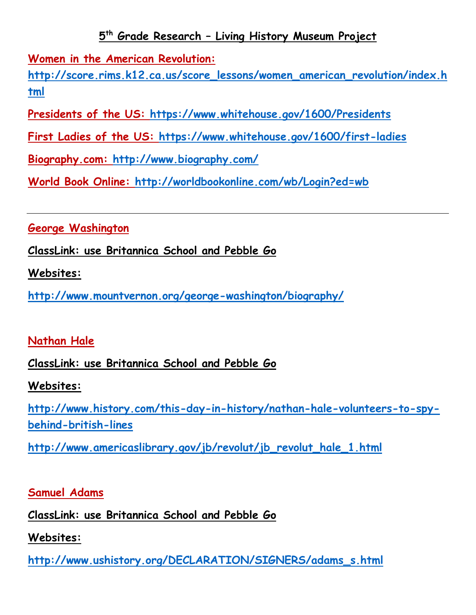#### **5 th Grade Research – Living History Museum Project**

**Women in the American Revolution:** 

**[http://score.rims.k12.ca.us/score\\_lessons/women\\_american\\_revolution/index.h](http://score.rims.k12.ca.us/score_lessons/women_american_revolution/index.html) [tml](http://score.rims.k12.ca.us/score_lessons/women_american_revolution/index.html)**

**Presidents of the US:<https://www.whitehouse.gov/1600/Presidents>**

**First Ladies of the US:<https://www.whitehouse.gov/1600/first-ladies>**

**Biography.com:<http://www.biography.com/>**

**World Book Online:<http://worldbookonline.com/wb/Login?ed=wb>**

**George Washington**

**ClassLink: use Britannica School and Pebble Go**

**Websites:**

**<http://www.mountvernon.org/george-washington/biography/>**

## **Nathan Hale**

## **ClassLink: use Britannica School and Pebble Go**

**Websites:**

**[http://www.history.com/this-day-in-history/nathan-hale-volunteers-to-spy](http://www.history.com/this-day-in-history/nathan-hale-volunteers-to-spy-behind-british-lines)[behind-british-lines](http://www.history.com/this-day-in-history/nathan-hale-volunteers-to-spy-behind-british-lines)**

**[http://www.americaslibrary.gov/jb/revolut/jb\\_revolut\\_hale\\_1.html](http://www.americaslibrary.gov/jb/revolut/jb_revolut_hale_1.html)**

**Samuel Adams**

**ClassLink: use Britannica School and Pebble Go**

**Websites:**

**[http://www.ushistory.org/DECLARATION/SIGNERS/adams\\_s.html](http://www.ushistory.org/DECLARATION/SIGNERS/adams_s.html)**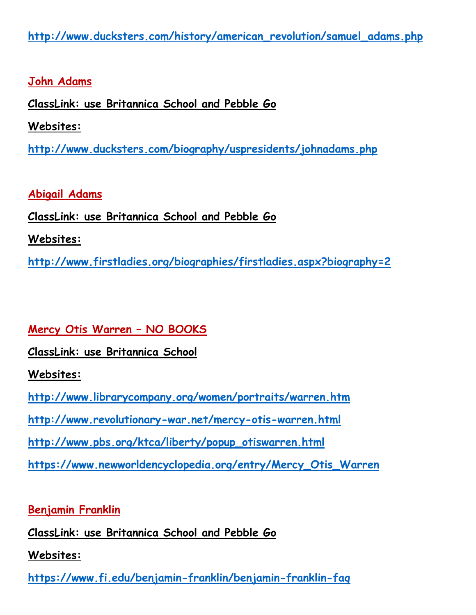**[http://www.ducksters.com/history/american\\_revolution/samuel\\_adams.php](http://www.ducksters.com/history/american_revolution/samuel_adams.php)**

**John Adams**

**ClassLink: use Britannica School and Pebble Go**

**Websites:**

**<http://www.ducksters.com/biography/uspresidents/johnadams.php>**

**Abigail Adams ClassLink: use Britannica School and Pebble Go Websites: <http://www.firstladies.org/biographies/firstladies.aspx?biography=2>**

**Mercy Otis Warren – NO BOOKS**

**ClassLink: use Britannica School**

**Websites:**

**<http://www.librarycompany.org/women/portraits/warren.htm>**

**<http://www.revolutionary-war.net/mercy-otis-warren.html>**

**[http://www.pbs.org/ktca/liberty/popup\\_otiswarren.html](http://www.pbs.org/ktca/liberty/popup_otiswarren.html)**

**[https://www.newworldencyclopedia.org/entry/Mercy\\_Otis\\_Warren](https://www.newworldencyclopedia.org/entry/Mercy_Otis_Warren)**

**Benjamin Franklin**

**ClassLink: use Britannica School and Pebble Go**

**Websites:**

**<https://www.fi.edu/benjamin-franklin/benjamin-franklin-faq>**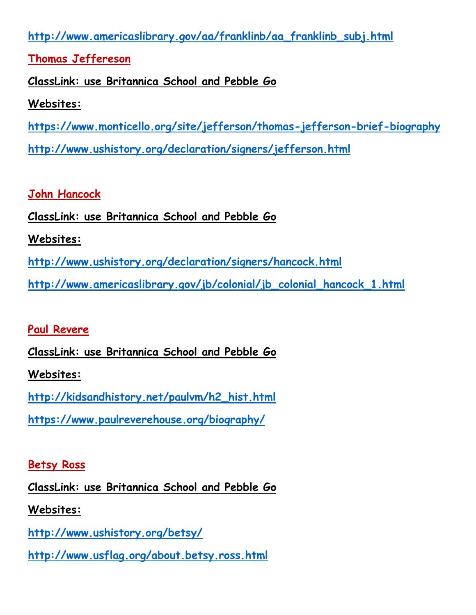**[http://www.americaslibrary.gov/aa/franklinb/aa\\_franklinb\\_subj.html](http://www.americaslibrary.gov/aa/franklinb/aa_franklinb_subj.html)**

**Thomas Jeffereson**

**ClassLink: use Britannica School and Pebble Go**

**Websites:**

**<https://www.monticello.org/site/jefferson/thomas-jefferson-brief-biography> <http://www.ushistory.org/declaration/signers/jefferson.html>**

**John Hancock**

**ClassLink: use Britannica School and Pebble Go**

**Websites:**

**<http://www.ushistory.org/declaration/signers/hancock.html>**

**[http://www.americaslibrary.gov/jb/colonial/jb\\_colonial\\_hancock\\_1.html](http://www.americaslibrary.gov/jb/colonial/jb_colonial_hancock_1.html)**

**Paul Revere**

**ClassLink: use Britannica School and Pebble Go**

**Websites:**

**[http://kidsandhistory.net/paulvm/h2\\_hist.html](http://kidsandhistory.net/paulvm/h2_hist.html)**

**<https://www.paulreverehouse.org/biography/>**

**Betsy Ross**

**ClassLink: use Britannica School and Pebble Go**

**Websites:**

**<http://www.ushistory.org/betsy/>**

**<http://www.usflag.org/about.betsy.ross.html>**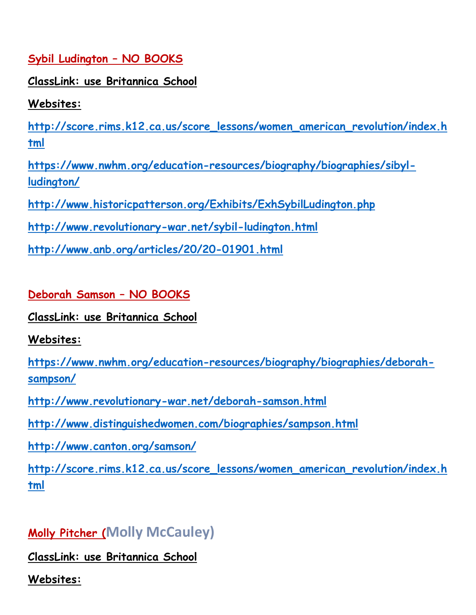**Sybil Ludington – NO BOOKS**

**ClassLink: use Britannica School**

**Websites:**

**[http://score.rims.k12.ca.us/score\\_lessons/women\\_american\\_revolution/index.h](http://score.rims.k12.ca.us/score_lessons/women_american_revolution/index.html) [tml](http://score.rims.k12.ca.us/score_lessons/women_american_revolution/index.html)**

**[https://www.nwhm.org/education-resources/biography/biographies/sibyl](https://www.nwhm.org/education-resources/biography/biographies/sibyl-ludington/)[ludington/](https://www.nwhm.org/education-resources/biography/biographies/sibyl-ludington/)**

**<http://www.historicpatterson.org/Exhibits/ExhSybilLudington.php>**

**<http://www.revolutionary-war.net/sybil-ludington.html>**

**<http://www.anb.org/articles/20/20-01901.html>**

**Deborah Samson – NO BOOKS**

**ClassLink: use Britannica School**

**Websites:**

**[https://www.nwhm.org/education-resources/biography/biographies/deborah](https://www.nwhm.org/education-resources/biography/biographies/deborah-sampson/)[sampson/](https://www.nwhm.org/education-resources/biography/biographies/deborah-sampson/)**

**<http://www.revolutionary-war.net/deborah-samson.html>**

**<http://www.distinguishedwomen.com/biographies/sampson.html>**

**<http://www.canton.org/samson/>**

**[http://score.rims.k12.ca.us/score\\_lessons/women\\_american\\_revolution/index.h](http://score.rims.k12.ca.us/score_lessons/women_american_revolution/index.html) [tml](http://score.rims.k12.ca.us/score_lessons/women_american_revolution/index.html)**

# **Molly Pitcher (Molly McCauley)**

**ClassLink: use Britannica School**

**Websites:**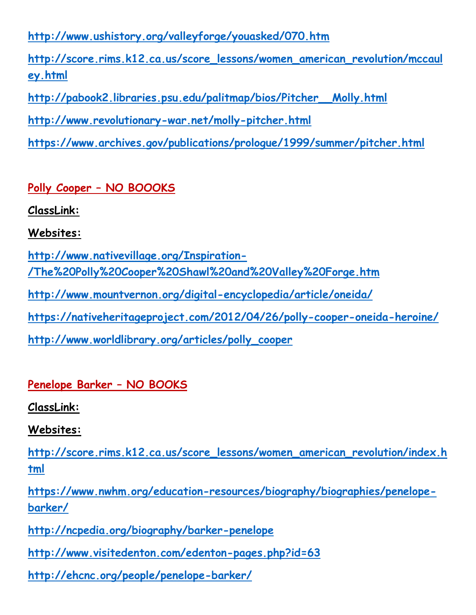**<http://www.ushistory.org/valleyforge/youasked/070.htm>**

**[http://score.rims.k12.ca.us/score\\_lessons/women\\_american\\_revolution/mccaul](http://score.rims.k12.ca.us/score_lessons/women_american_revolution/mccauley.html) [ey.html](http://score.rims.k12.ca.us/score_lessons/women_american_revolution/mccauley.html)**

**[http://pabook2.libraries.psu.edu/palitmap/bios/Pitcher\\_\\_Molly.html](http://pabook2.libraries.psu.edu/palitmap/bios/Pitcher__Molly.html)**

**<http://www.revolutionary-war.net/molly-pitcher.html>**

**<https://www.archives.gov/publications/prologue/1999/summer/pitcher.html>**

**Polly Cooper – NO BOOOKS**

**ClassLink:** 

**Websites:**

**[http://www.nativevillage.org/Inspiration-](http://www.nativevillage.org/Inspiration-/The%20Polly%20Cooper%20Shawl%20and%20Valley%20Forge.htm) [/The%20Polly%20Cooper%20Shawl%20and%20Valley%20Forge.htm](http://www.nativevillage.org/Inspiration-/The%20Polly%20Cooper%20Shawl%20and%20Valley%20Forge.htm)**

**<http://www.mountvernon.org/digital-encyclopedia/article/oneida/>**

**<https://nativeheritageproject.com/2012/04/26/polly-cooper-oneida-heroine/>**

**[http://www.worldlibrary.org/articles/polly\\_cooper](http://www.worldlibrary.org/articles/polly_cooper)**

#### **Penelope Barker – NO BOOKS**

**ClassLink:** 

**Websites:**

**[http://score.rims.k12.ca.us/score\\_lessons/women\\_american\\_revolution/index.h](http://score.rims.k12.ca.us/score_lessons/women_american_revolution/index.html) [tml](http://score.rims.k12.ca.us/score_lessons/women_american_revolution/index.html)**

**[https://www.nwhm.org/education-resources/biography/biographies/penelope](https://www.nwhm.org/education-resources/biography/biographies/penelope-barker/)[barker/](https://www.nwhm.org/education-resources/biography/biographies/penelope-barker/)**

**<http://ncpedia.org/biography/barker-penelope>**

**<http://www.visitedenton.com/edenton-pages.php?id=63>**

**<http://ehcnc.org/people/penelope-barker/>**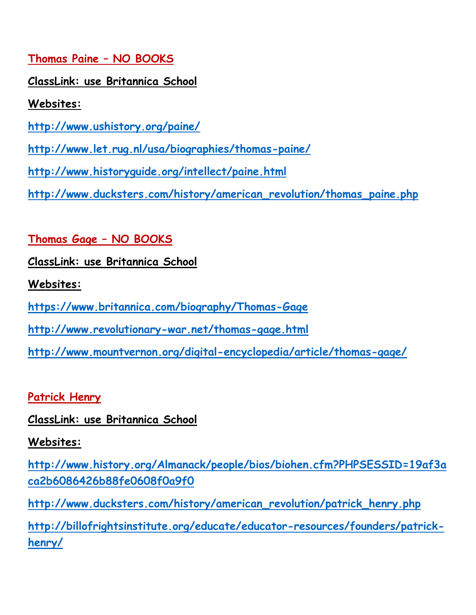**Thomas Paine – NO BOOKS**

**ClassLink: use Britannica School**

**Websites:**

**<http://www.ushistory.org/paine/>**

**<http://www.let.rug.nl/usa/biographies/thomas-paine/>**

**<http://www.historyguide.org/intellect/paine.html>**

**[http://www.ducksters.com/history/american\\_revolution/thomas\\_paine.php](http://www.ducksters.com/history/american_revolution/thomas_paine.php)**

### **Thomas Gage – NO BOOKS**

**ClassLink: use Britannica School**

**Websites:**

**<https://www.britannica.com/biography/Thomas-Gage>**

**<http://www.revolutionary-war.net/thomas-gage.html>**

**<http://www.mountvernon.org/digital-encyclopedia/article/thomas-gage/>**

#### **Patrick Henry**

**ClassLink: use Britannica School**

#### **Websites:**

**[http://www.history.org/Almanack/people/bios/biohen.cfm?PHPSESSID=19af3a](http://www.history.org/Almanack/people/bios/biohen.cfm?PHPSESSID=19af3aca2b6086426b88fe0608f0a9f0) [ca2b6086426b88fe0608f0a9f0](http://www.history.org/Almanack/people/bios/biohen.cfm?PHPSESSID=19af3aca2b6086426b88fe0608f0a9f0)**

**[http://www.ducksters.com/history/american\\_revolution/patrick\\_henry.php](http://www.ducksters.com/history/american_revolution/patrick_henry.php)**

**[http://billofrightsinstitute.org/educate/educator-resources/founders/patrick](http://billofrightsinstitute.org/educate/educator-resources/founders/patrick-henry/)[henry/](http://billofrightsinstitute.org/educate/educator-resources/founders/patrick-henry/)**